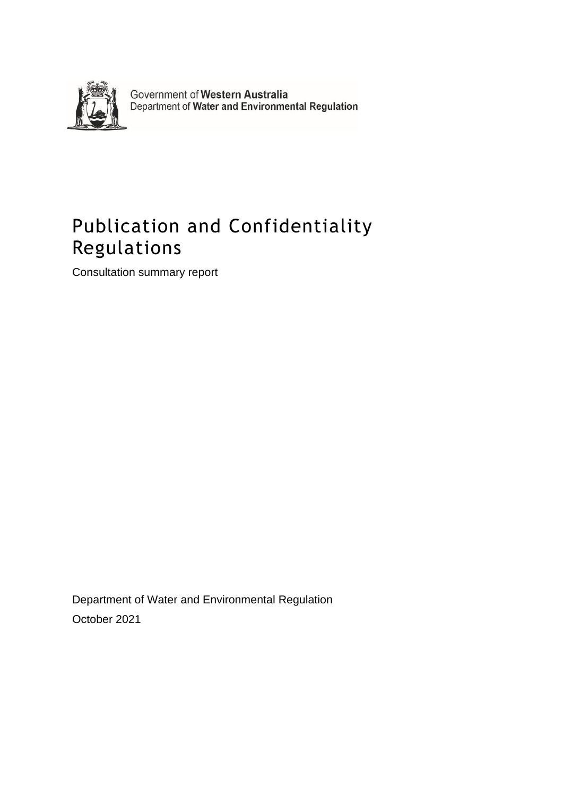

Government of Western Australia<br>Department of Water and Environmental Regulation

## Publication and Confidentiality Regulations

Consultation summary report

Department of Water and Environmental Regulation October 2021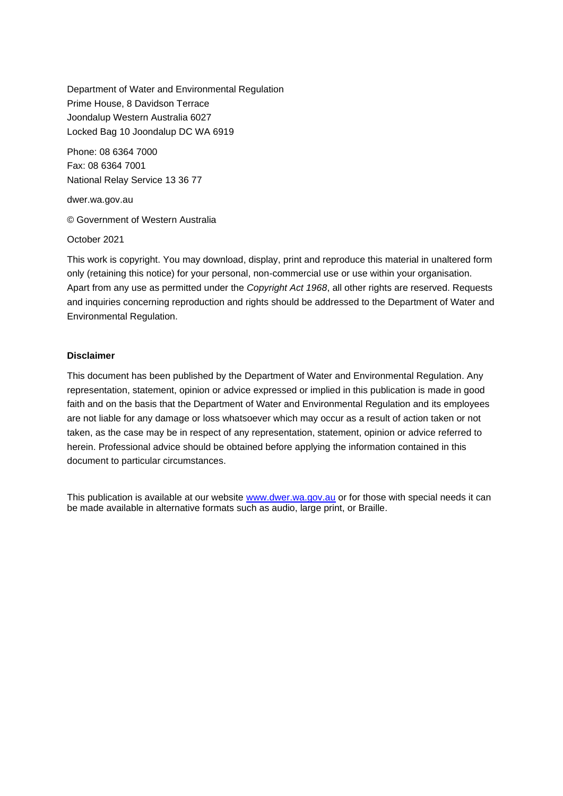Department of Water and Environmental Regulation Prime House, 8 Davidson Terrace Joondalup Western Australia 6027 Locked Bag 10 Joondalup DC WA 6919

Phone: 08 6364 7000 Fax: 08 6364 7001 National Relay Service 13 36 77

dwer.wa.gov.au

© Government of Western Australia

October 2021

This work is copyright. You may download, display, print and reproduce this material in unaltered form only (retaining this notice) for your personal, non-commercial use or use within your organisation. Apart from any use as permitted under the *Copyright Act 1968*, all other rights are reserved. Requests and inquiries concerning reproduction and rights should be addressed to the Department of Water and Environmental Regulation.

#### **Disclaimer**

This document has been published by the Department of Water and Environmental Regulation. Any representation, statement, opinion or advice expressed or implied in this publication is made in good faith and on the basis that the Department of Water and Environmental Regulation and its employees are not liable for any damage or loss whatsoever which may occur as a result of action taken or not taken, as the case may be in respect of any representation, statement, opinion or advice referred to herein. Professional advice should be obtained before applying the information contained in this document to particular circumstances.

This publication is available at our website [www.dwer.wa.gov.au](http://www.dwer.wa.gov.au/) or for those with special needs it can be made available in alternative formats such as audio, large print, or Braille.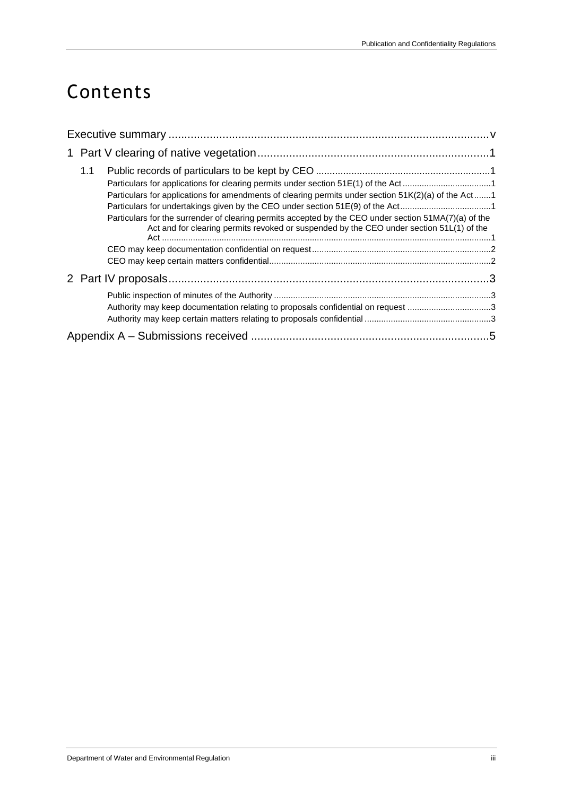## Contents

| 1.1<br>Particulars for applications for clearing permits under section 51E(1) of the Act1<br>Particulars for applications for amendments of clearing permits under section 51K(2)(a) of the Act1<br>Particulars for undertakings given by the CEO under section 51E(9) of the Act1<br>Particulars for the surrender of clearing permits accepted by the CEO under section 51MA(7)(a) of the<br>Act and for clearing permits revoked or suspended by the CEO under section 51L(1) of the |  |
|-----------------------------------------------------------------------------------------------------------------------------------------------------------------------------------------------------------------------------------------------------------------------------------------------------------------------------------------------------------------------------------------------------------------------------------------------------------------------------------------|--|
|                                                                                                                                                                                                                                                                                                                                                                                                                                                                                         |  |
|                                                                                                                                                                                                                                                                                                                                                                                                                                                                                         |  |
| Authority may keep documentation relating to proposals confidential on request 3                                                                                                                                                                                                                                                                                                                                                                                                        |  |
|                                                                                                                                                                                                                                                                                                                                                                                                                                                                                         |  |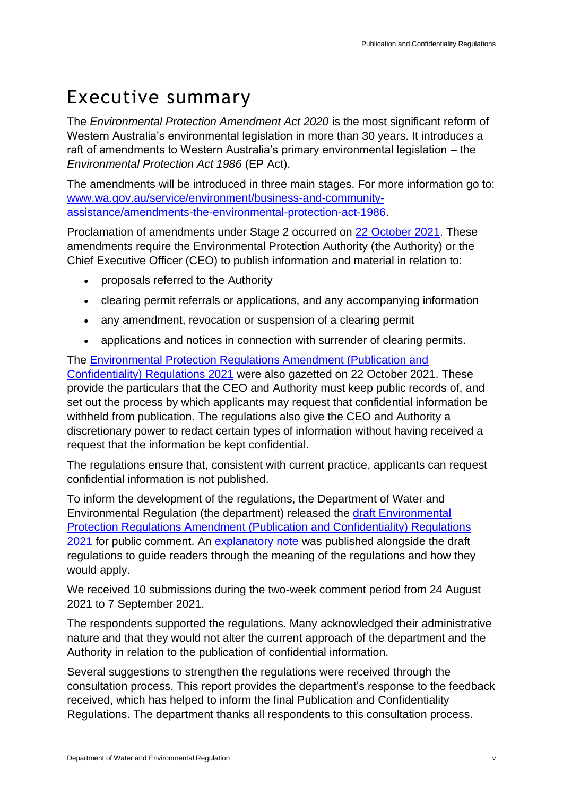## Executive summary

The *Environmental Protection Amendment Act 2020* is the most significant reform of Western Australia's environmental legislation in more than 30 years. It introduces a raft of amendments to Western Australia's primary environmental legislation – the *Environmental Protection Act 1986* (EP Act).

The amendments will be introduced in three main stages. For more information go to: [www.wa.gov.au/service/environment/business-and-community](http://www.wa.gov.au/service/environment/business-and-community-assistance/amendments-the-environmental-protection-act-1986)[assistance/amendments-the-environmental-protection-act-1986.](http://www.wa.gov.au/service/environment/business-and-community-assistance/amendments-the-environmental-protection-act-1986)

Proclamation of amendments under Stage 2 occurred on [22 October 2021.](https://www.wa.gov.au/sites/default/files/2021-10/Environmental%20Protection%20Amendment%20Act%202020%20Commencement%20Proclamation%20%28No.%202%29%202021.pdf) These amendments require the Environmental Protection Authority (the Authority) or the Chief Executive Officer (CEO) to publish information and material in relation to:

- proposals referred to the Authority
- clearing permit referrals or applications, and any accompanying information
- any amendment, revocation or suspension of a clearing permit
- applications and notices in connection with surrender of clearing permits.

The [Environmental Protection Regulations Amendment \(Publication and](https://consult.dwer.wa.gov.au/strategic-policy/publication-and-confidentiality-regulations/user_uploads/environmental-protection-regulations-amendment--publication-and-confidentiality--regulations-2021.pdf)  [Confidentiality\) Regulations 2021](https://consult.dwer.wa.gov.au/strategic-policy/publication-and-confidentiality-regulations/user_uploads/environmental-protection-regulations-amendment--publication-and-confidentiality--regulations-2021.pdf) were also gazetted on 22 October 2021. These provide the particulars that the CEO and Authority must keep public records of, and set out the process by which applicants may request that confidential information be withheld from publication. The regulations also give the CEO and Authority a discretionary power to redact certain types of information without having received a request that the information be kept confidential.

The regulations ensure that, consistent with current practice, applicants can request confidential information is not published.

To inform the development of the regulations, the Department of Water and Environmental Regulation (the department) released the [draft Environmental](https://consult.dwer.wa.gov.au/strategic-policy/publication-and-confidentiality-regulations/user_uploads/att-2---environmental-protection-regulations-amendment--publication-and-confidentiality--regulations-2021--consultation-draft--1.pdf)  [Protection Regulations Amendment \(Publication and Confidentiality\) Regulations](https://consult.dwer.wa.gov.au/strategic-policy/publication-and-confidentiality-regulations/user_uploads/att-2---environmental-protection-regulations-amendment--publication-and-confidentiality--regulations-2021--consultation-draft--1.pdf)  [2021](https://consult.dwer.wa.gov.au/strategic-policy/publication-and-confidentiality-regulations/user_uploads/att-2---environmental-protection-regulations-amendment--publication-and-confidentiality--regulations-2021--consultation-draft--1.pdf) for public comment. An [explanatory note](https://consult.dwer.wa.gov.au/strategic-policy/publication-and-confidentiality-regulations/user_uploads/att-3---publication-and-confidentiality-regs-explanatory-doc-1.pdf) was published alongside the draft regulations to guide readers through the meaning of the regulations and how they would apply.

We received 10 submissions during the two-week comment period from 24 August 2021 to 7 September 2021.

The respondents supported the regulations. Many acknowledged their administrative nature and that they would not alter the current approach of the department and the Authority in relation to the publication of confidential information.

Several suggestions to strengthen the regulations were received through the consultation process. This report provides the department's response to the feedback received, which has helped to inform the final Publication and Confidentiality Regulations. The department thanks all respondents to this consultation process.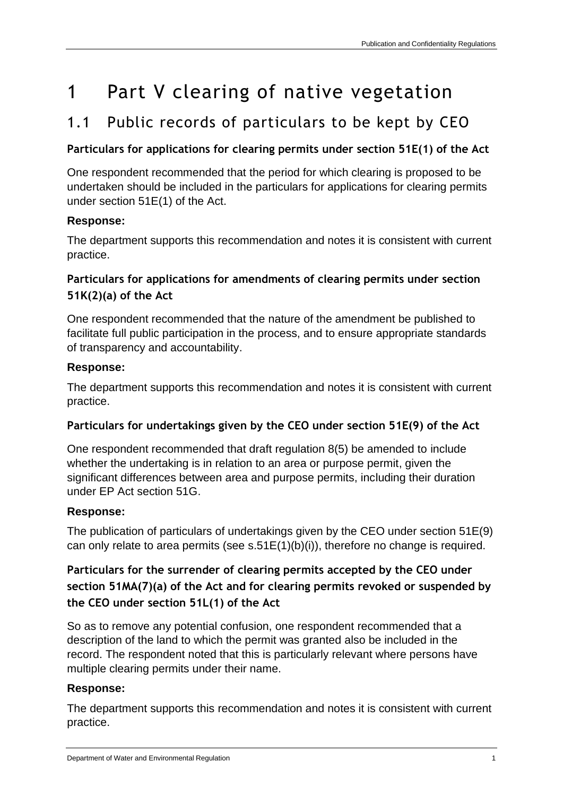# 1 Part V clearing of native vegetation

## 1.1 Public records of particulars to be kept by CEO

### **Particulars for applications for clearing permits under section 51E(1) of the Act**

One respondent recommended that the period for which clearing is proposed to be undertaken should be included in the particulars for applications for clearing permits under section 51E(1) of the Act.

### **Response:**

The department supports this recommendation and notes it is consistent with current practice.

## **Particulars for applications for amendments of clearing permits under section 51K(2)(a) of the Act**

One respondent recommended that the nature of the amendment be published to facilitate full public participation in the process, and to ensure appropriate standards of transparency and accountability.

## **Response:**

The department supports this recommendation and notes it is consistent with current practice.

## **Particulars for undertakings given by the CEO under section 51E(9) of the Act**

One respondent recommended that draft regulation 8(5) be amended to include whether the undertaking is in relation to an area or purpose permit, given the significant differences between area and purpose permits, including their duration under EP Act section 51G.

## **Response:**

The publication of particulars of undertakings given by the CEO under section 51E(9) can only relate to area permits (see s.51E(1)(b)(i)), therefore no change is required.

## **Particulars for the surrender of clearing permits accepted by the CEO under section 51MA(7)(a) of the Act and for clearing permits revoked or suspended by the CEO under section 51L(1) of the Act**

So as to remove any potential confusion, one respondent recommended that a description of the land to which the permit was granted also be included in the record. The respondent noted that this is particularly relevant where persons have multiple clearing permits under their name.

## **Response:**

The department supports this recommendation and notes it is consistent with current practice.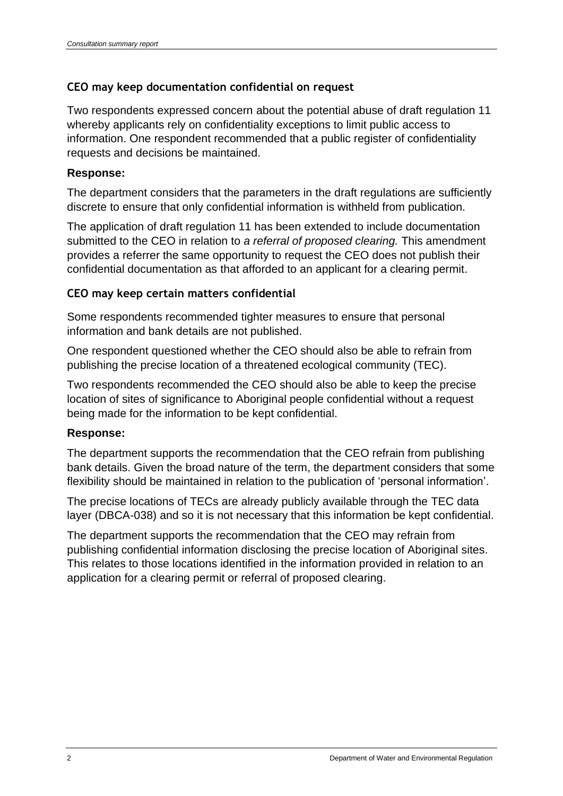#### **CEO may keep documentation confidential on request**

Two respondents expressed concern about the potential abuse of draft regulation 11 whereby applicants rely on confidentiality exceptions to limit public access to information. One respondent recommended that a public register of confidentiality requests and decisions be maintained.

#### **Response:**

The department considers that the parameters in the draft regulations are sufficiently discrete to ensure that only confidential information is withheld from publication.

The application of draft regulation 11 has been extended to include documentation submitted to the CEO in relation to *a referral of proposed clearing.* This amendment provides a referrer the same opportunity to request the CEO does not publish their confidential documentation as that afforded to an applicant for a clearing permit.

#### **CEO may keep certain matters confidential**

Some respondents recommended tighter measures to ensure that personal information and bank details are not published.

One respondent questioned whether the CEO should also be able to refrain from publishing the precise location of a threatened ecological community (TEC).

Two respondents recommended the CEO should also be able to keep the precise location of sites of significance to Aboriginal people confidential without a request being made for the information to be kept confidential.

#### **Response:**

The department supports the recommendation that the CEO refrain from publishing bank details. Given the broad nature of the term, the department considers that some flexibility should be maintained in relation to the publication of 'personal information'.

The precise locations of TECs are already publicly available through the TEC data layer (DBCA-038) and so it is not necessary that this information be kept confidential.

The department supports the recommendation that the CEO may refrain from publishing confidential information disclosing the precise location of Aboriginal sites. This relates to those locations identified in the information provided in relation to an application for a clearing permit or referral of proposed clearing.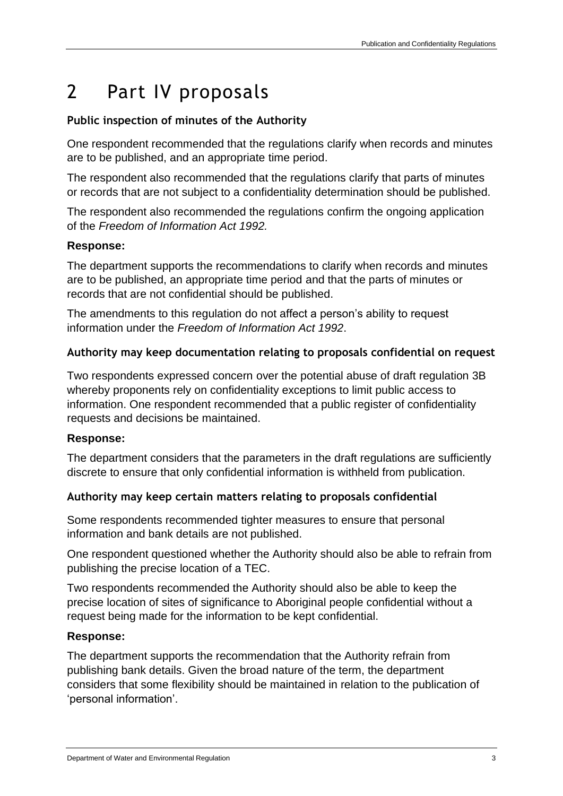## 2 Part IV proposals

### **Public inspection of minutes of the Authority**

One respondent recommended that the regulations clarify when records and minutes are to be published, and an appropriate time period.

The respondent also recommended that the regulations clarify that parts of minutes or records that are not subject to a confidentiality determination should be published.

The respondent also recommended the regulations confirm the ongoing application of the *Freedom of Information Act 1992.*

#### **Response:**

The department supports the recommendations to clarify when records and minutes are to be published, an appropriate time period and that the parts of minutes or records that are not confidential should be published.

The amendments to this regulation do not affect a person's ability to request information under the *Freedom of Information Act 1992*.

### **Authority may keep documentation relating to proposals confidential on request**

Two respondents expressed concern over the potential abuse of draft regulation 3B whereby proponents rely on confidentiality exceptions to limit public access to information. One respondent recommended that a public register of confidentiality requests and decisions be maintained.

#### **Response:**

The department considers that the parameters in the draft regulations are sufficiently discrete to ensure that only confidential information is withheld from publication.

### **Authority may keep certain matters relating to proposals confidential**

Some respondents recommended tighter measures to ensure that personal information and bank details are not published.

One respondent questioned whether the Authority should also be able to refrain from publishing the precise location of a TEC.

Two respondents recommended the Authority should also be able to keep the precise location of sites of significance to Aboriginal people confidential without a request being made for the information to be kept confidential.

#### **Response:**

The department supports the recommendation that the Authority refrain from publishing bank details. Given the broad nature of the term, the department considers that some flexibility should be maintained in relation to the publication of 'personal information'.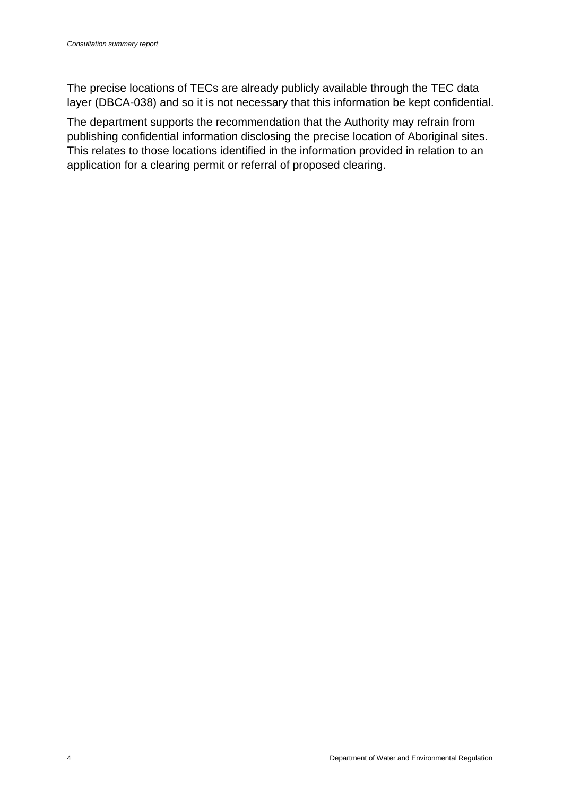The precise locations of TECs are already publicly available through the TEC data layer (DBCA-038) and so it is not necessary that this information be kept confidential.

The department supports the recommendation that the Authority may refrain from publishing confidential information disclosing the precise location of Aboriginal sites. This relates to those locations identified in the information provided in relation to an application for a clearing permit or referral of proposed clearing.